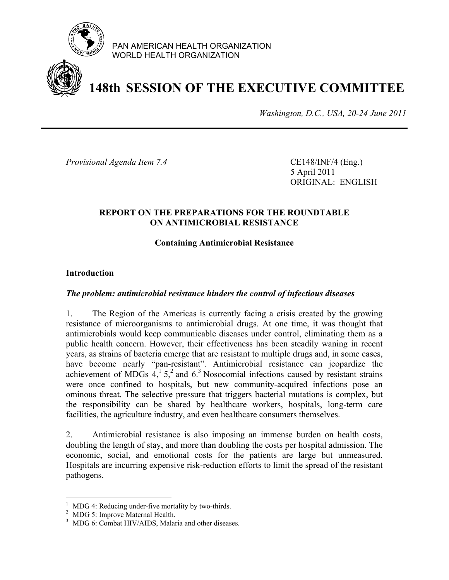

PAN AMERICAN HEALTH ORGANIZATION WORLD HEALTH ORGANIZATION

# **148th SESSION OF THE EXECUTIVE COMMITTEE**

*Washington, D.C., USA, 20-24 June 2011*

*Provisional Agenda Item 7.4* CE148/INF/4 (Eng.)

 5 April 2011 ORIGINAL: ENGLISH

#### **REPORT ON THE PREPARATIONS FOR THE ROUNDTABLE ON ANTIMICROBIAL RESISTANCE**

#### **Containing Antimicrobial Resistance**

#### **Introduction**

#### *The problem: antimicrobial resistance hinders the control of infectious diseases*

1. The Region of the Americas is currently facing a crisis created by the growing resistance of microorganisms to antimicrobial drugs. At one time, it was thought that antimicrobials would keep communicable diseases under control, eliminating them as a public health concern. However, their effectiveness has been steadily waning in recent years, as strains of bacteria emerge that are resistant to multiple drugs and, in some cases, have become nearly "pan-resistant". Antimicrobial resistance can jeopardize the achievement of MDGs  $4<sup>1</sup>$ ,  $5<sup>2</sup>$  and  $6<sup>3</sup>$  Nosocomial infections caused by resistant strains were once confined to hospitals, but new community-acquired infections pose an ominous threat. The selective pressure that triggers bacterial mutations is complex, but the responsibility can be shared by healthcare workers, hospitals, long-term care facilities, the agriculture industry, and even healthcare consumers themselves.

2. Antimicrobial resistance is also imposing an immense burden on health costs, doubling the length of stay, and more than doubling the costs per hospital admission. The economic, social, and emotional costs for the patients are large but unmeasured. Hospitals are incurring expensive risk-reduction efforts to limit the spread of the resistant pathogens.

 $\overline{a}$ 

<sup>&</sup>lt;sup>1</sup> MDG 4: Reducing under-five mortality by two-thirds.

<sup>&</sup>lt;sup>2</sup> MDG 5: Improve Maternal Health.

<sup>&</sup>lt;sup>3</sup> MDG 6: Combat HIV/AIDS, Malaria and other diseases.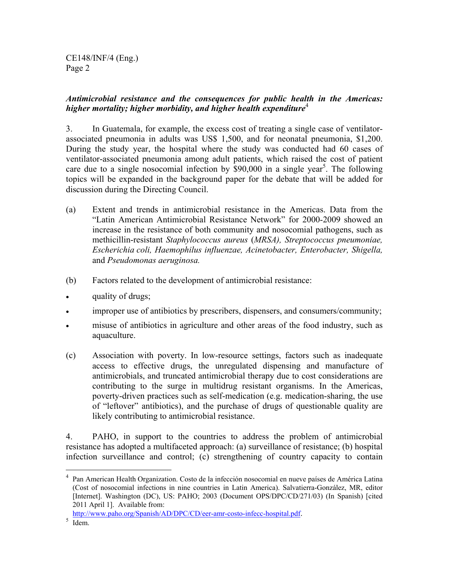CE148/INF/4 (Eng.) Page 2

#### *Antimicrobial resistance and the consequences for public health in the Americas: higher mortality; higher morbidity, and higher health expenditure*<sup>4</sup>

3. In Guatemala, for example, the excess cost of treating a single case of ventilatorassociated pneumonia in adults was US\$ 1,500, and for neonatal pneumonia, \$1,200. During the study year, the hospital where the study was conducted had 60 cases of ventilator-associated pneumonia among adult patients, which raised the cost of patient care due to a single nosocomial infection by  $$90,000$  in a single year<sup>5</sup>. The following topics will be expanded in the background paper for the debate that will be added for discussion during the Directing Council.

- (a) Extent and trends in antimicrobial resistance in the Americas. Data from the "Latin American Antimicrobial Resistance Network" for 2000-2009 showed an increase in the resistance of both community and nosocomial pathogens, such as methicillin-resistant *Staphylococcus aureus* (*MRSA), Streptococcus pneumoniae, Escherichia coli, Haemophilus influenzae, Acinetobacter, Enterobacter, Shigella,*  and *Pseudomonas aeruginosa.*
- (b) Factors related to the development of antimicrobial resistance:
- quality of drugs;
- improper use of antibiotics by prescribers, dispensers, and consumers/community;
- misuse of antibiotics in agriculture and other areas of the food industry, such as aquaculture.
- (c) Association with poverty. In low-resource settings, factors such as inadequate access to effective drugs, the unregulated dispensing and manufacture of antimicrobials, and truncated antimicrobial therapy due to cost considerations are contributing to the surge in multidrug resistant organisms. In the Americas, poverty-driven practices such as self-medication (e.g. medication-sharing, the use of "leftover" antibiotics), and the purchase of drugs of questionable quality are likely contributing to antimicrobial resistance.

4. PAHO, in support to the countries to address the problem of antimicrobial resistance has adopted a multifaceted approach: (a) surveillance of resistance; (b) hospital infection surveillance and control; (c) strengthening of country capacity to contain

1

<sup>4</sup> Pan American Health Organization. Costo de la infección nosocomial en nueve países de América Latina (Cost of nosocomial infections in nine countries in Latin America). Salvatierra-González, MR, editor [Internet]. Washington (DC), US: PAHO; 2003 (Document OPS/DPC/CD/271/03) (In Spanish) [cited 2011 April 1]. Available from:

http://www.paho.org/Spanish/AD/DPC/CD/eer-amr-costo-infecc-hospital.pdf. 5 Idem.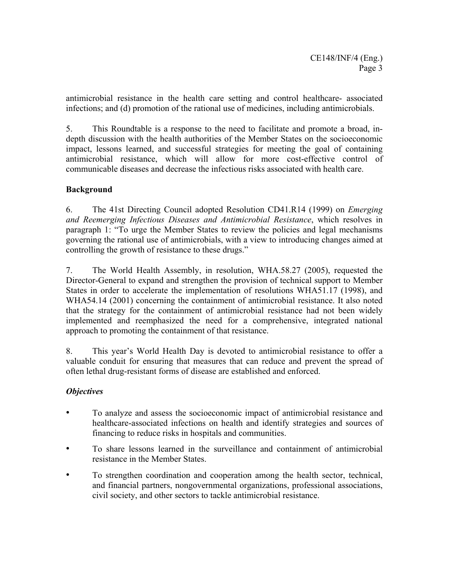antimicrobial resistance in the health care setting and control healthcare- associated infections; and (d) promotion of the rational use of medicines, including antimicrobials.

5. This Roundtable is a response to the need to facilitate and promote a broad, indepth discussion with the health authorities of the Member States on the socioeconomic impact, lessons learned, and successful strategies for meeting the goal of containing antimicrobial resistance, which will allow for more cost-effective control of communicable diseases and decrease the infectious risks associated with health care.

#### **Background**

6. The 41st Directing Council adopted Resolution CD41.R14 (1999) on *Emerging and Reemerging Infectious Diseases and Antimicrobial Resistance*, which resolves in paragraph 1: "To urge the Member States to review the policies and legal mechanisms governing the rational use of antimicrobials, with a view to introducing changes aimed at controlling the growth of resistance to these drugs."

7. The World Health Assembly, in resolution, WHA.58.27 (2005), requested the Director-General to expand and strengthen the provision of technical support to Member States in order to accelerate the implementation of resolutions WHA51.17 (1998), and WHA54.14 (2001) concerning the containment of antimicrobial resistance. It also noted that the strategy for the containment of antimicrobial resistance had not been widely implemented and reemphasized the need for a comprehensive, integrated national approach to promoting the containment of that resistance.

8. This year's World Health Day is devoted to antimicrobial resistance to offer a valuable conduit for ensuring that measures that can reduce and prevent the spread of often lethal drug-resistant forms of disease are established and enforced.

#### *Objectives*

- To analyze and assess the socioeconomic impact of antimicrobial resistance and healthcare-associated infections on health and identify strategies and sources of financing to reduce risks in hospitals and communities.
- To share lessons learned in the surveillance and containment of antimicrobial resistance in the Member States.
- To strengthen coordination and cooperation among the health sector, technical, and financial partners, nongovernmental organizations, professional associations, civil society, and other sectors to tackle antimicrobial resistance.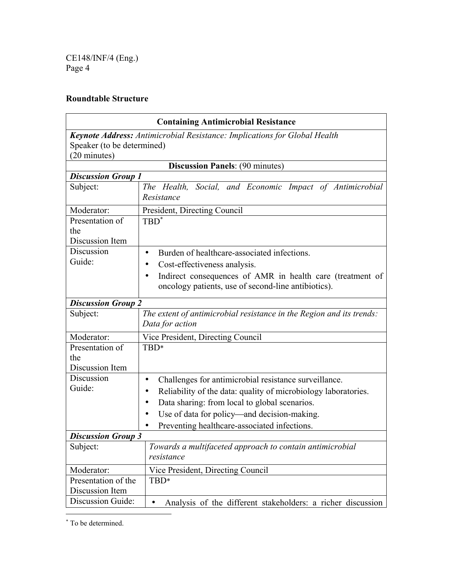CE148/INF/4 (Eng.) Page 4

# **Roundtable Structure**

| <b>Containing Antimicrobial Resistance</b> |                                                                                                                  |  |
|--------------------------------------------|------------------------------------------------------------------------------------------------------------------|--|
|                                            | Keynote Address: Antimicrobial Resistance: Implications for Global Health                                        |  |
| Speaker (to be determined)                 |                                                                                                                  |  |
| (20 minutes)                               |                                                                                                                  |  |
| <b>Discussion Panels: (90 minutes)</b>     |                                                                                                                  |  |
| <b>Discussion Group 1</b>                  |                                                                                                                  |  |
| Subject:                                   | The Health, Social, and Economic Impact of Antimicrobial<br>Resistance                                           |  |
| Moderator:                                 | President, Directing Council                                                                                     |  |
| Presentation of                            | TBD <sup>*</sup>                                                                                                 |  |
| the                                        |                                                                                                                  |  |
| Discussion Item                            |                                                                                                                  |  |
| Discussion                                 | Burden of healthcare-associated infections.                                                                      |  |
| Guide:                                     | Cost-effectiveness analysis.                                                                                     |  |
|                                            | Indirect consequences of AMR in health care (treatment of<br>oncology patients, use of second-line antibiotics). |  |
| <b>Discussion Group 2</b>                  |                                                                                                                  |  |
| Subject:                                   | The extent of antimicrobial resistance in the Region and its trends:<br>Data for action                          |  |
| Moderator:                                 | Vice President, Directing Council                                                                                |  |
| Presentation of                            | TBD*                                                                                                             |  |
| the                                        |                                                                                                                  |  |
| Discussion Item                            |                                                                                                                  |  |
| Discussion                                 | Challenges for antimicrobial resistance surveillance.                                                            |  |
| Guide:                                     | Reliability of the data: quality of microbiology laboratories.                                                   |  |
|                                            | Data sharing: from local to global scenarios.                                                                    |  |
|                                            | Use of data for policy—and decision-making.                                                                      |  |
|                                            | Preventing healthcare-associated infections.                                                                     |  |
| <b>Discussion Group 3</b>                  |                                                                                                                  |  |
| Subject:                                   | Towards a multifaceted approach to contain antimicrobial<br>resistance                                           |  |
| Moderator:                                 | Vice President, Directing Council                                                                                |  |
| Presentation of the                        | TBD*                                                                                                             |  |
| Discussion Item                            |                                                                                                                  |  |
| Discussion Guide:                          | Analysis of the different stakeholders: a richer discussion<br>$\bullet$                                         |  |

∗ To be determined.

 $\overline{a}$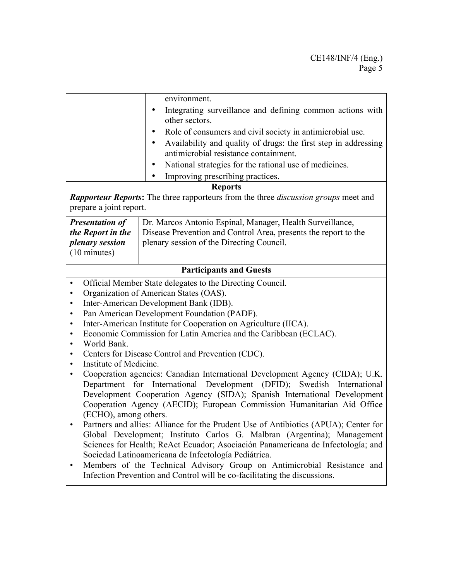|                | environment.                                                                                             |
|----------------|----------------------------------------------------------------------------------------------------------|
| $\bullet$      | Integrating surveillance and defining common actions with<br>other sectors.                              |
|                | Role of consumers and civil society in antimicrobial use.                                                |
|                | Availability and quality of drugs: the first step in addressing<br>antimicrobial resistance containment. |
|                | National strategies for the rational use of medicines.                                                   |
| $\bullet$      | Improving prescribing practices.                                                                         |
| <b>Reports</b> |                                                                                                          |

*Rapporteur Reports***:** The three rapporteurs from the three *discussion groups* meet and prepare a joint report.

| <b>Presentation of</b> | Dr. Marcos Antonio Espinal, Manager, Health Surveillance,                                |
|------------------------|------------------------------------------------------------------------------------------|
|                        | <i>the Report in the</i> Disease Prevention and Control Area, presents the report to the |
| <i>plenary session</i> | plenary session of the Directing Council.                                                |
| $(10 \text{ minutes})$ |                                                                                          |

## **Participants and Guests**

- Official Member State delegates to the Directing Council.
- Organization of American States (OAS).
- Inter-American Development Bank (IDB).
- Pan American Development Foundation (PADF).
- Inter-American Institute for Cooperation on Agriculture (IICA).
- Economic Commission for Latin America and the Caribbean (ECLAC).
- World Bank.
- Centers for Disease Control and Prevention (CDC).
- Institute of Medicine.
- Cooperation agencies: Canadian International Development Agency (CIDA); U.K. Department for International Development (DFID); Swedish International Development Cooperation Agency (SIDA); Spanish International Development Cooperation Agency (AECID); European Commission Humanitarian Aid Office (ECHO), among others.
- Partners and allies: Alliance for the Prudent Use of Antibiotics (APUA); Center for Global Development; Instituto Carlos G. Malbran (Argentina); Management Sciences for Health; ReAct Ecuador; Asociación Panamericana de Infectología; and Sociedad Latinoamericana de Infectología Pediátrica.
- Members of the Technical Advisory Group on Antimicrobial Resistance and Infection Prevention and Control will be co-facilitating the discussions.